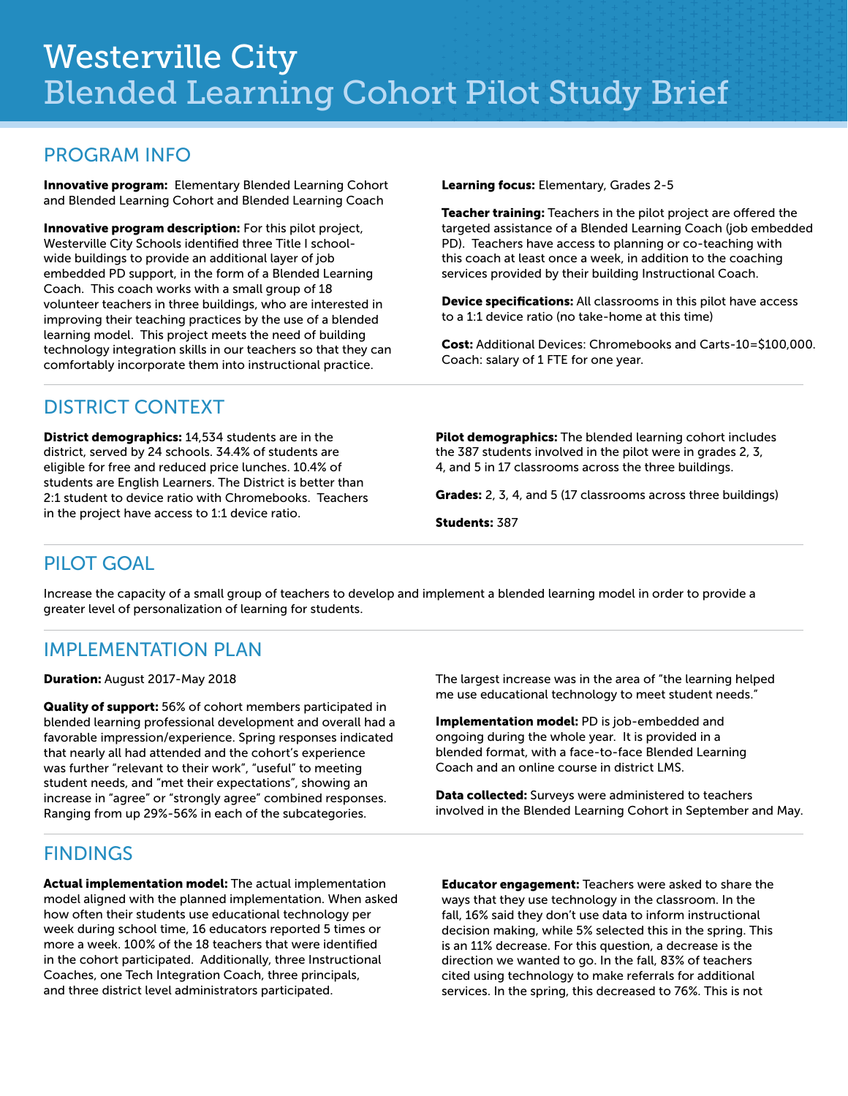#### PROGRAM INFO

Innovative program: Elementary Blended Learning Cohort and Blended Learning Cohort and Blended Learning Coach

Innovative program description: For this pilot project, Westerville City Schools identified three Title I schoolwide buildings to provide an additional layer of job embedded PD support, in the form of a Blended Learning Coach. This coach works with a small group of 18 volunteer teachers in three buildings, who are interested in improving their teaching practices by the use of a blended learning model. This project meets the need of building technology integration skills in our teachers so that they can comfortably incorporate them into instructional practice.

Learning focus: Elementary, Grades 2-5

Teacher training: Teachers in the pilot project are offered the targeted assistance of a Blended Learning Coach (job embedded PD). Teachers have access to planning or co-teaching with this coach at least once a week, in addition to the coaching services provided by their building Instructional Coach.

**Device specifications:** All classrooms in this pilot have access to a 1:1 device ratio (no take-home at this time)

Cost: Additional Devices: Chromebooks and Carts-10=\$100,000. Coach: salary of 1 FTE for one year.

#### DISTRICT CONTEXT

District demographics: 14,534 students are in the district, served by 24 schools. 34.4% of students are eligible for free and reduced price lunches. 10.4% of students are English Learners. The District is better than 2:1 student to device ratio with Chromebooks. Teachers in the project have access to 1:1 device ratio.

Pilot demographics: The blended learning cohort includes the 387 students involved in the pilot were in grades 2, 3, 4, and 5 in 17 classrooms across the three buildings.

Grades: 2, 3, 4, and 5 (17 classrooms across three buildings)

Students: 387

# PILOT GOAL

Increase the capacity of a small group of teachers to develop and implement a blended learning model in order to provide a greater level of personalization of learning for students.

# IMPLEMENTATION PLAN

#### Duration: August 2017-May 2018

Quality of support: 56% of cohort members participated in blended learning professional development and overall had a favorable impression/experience. Spring responses indicated that nearly all had attended and the cohort's experience was further "relevant to their work", "useful" to meeting student needs, and "met their expectations", showing an increase in "agree" or "strongly agree" combined responses. Ranging from up 29%-56% in each of the subcategories.

# **FINDINGS**

Actual implementation model: The actual implementation model aligned with the planned implementation. When asked how often their students use educational technology per week during school time, 16 educators reported 5 times or more a week. 100% of the 18 teachers that were identified in the cohort participated. Additionally, three Instructional Coaches, one Tech Integration Coach, three principals, and three district level administrators participated.

The largest increase was in the area of "the learning helped me use educational technology to meet student needs."

Implementation model: PD is job-embedded and ongoing during the whole year. It is provided in a blended format, with a face-to-face Blended Learning Coach and an online course in district LMS.

Data collected: Surveys were administered to teachers involved in the Blended Learning Cohort in September and May.

Educator engagement: Teachers were asked to share the ways that they use technology in the classroom. In the fall, 16% said they don't use data to inform instructional decision making, while 5% selected this in the spring. This is an 11% decrease. For this question, a decrease is the direction we wanted to go. In the fall, 83% of teachers cited using technology to make referrals for additional services. In the spring, this decreased to 76%. This is not